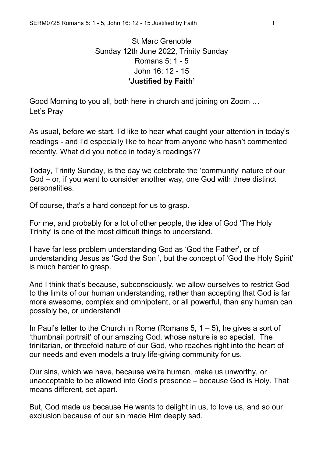## St Marc Grenoble Sunday 12th June 2022, Trinity Sunday Romans 5: 1 - 5 John 16: 12 - 15 **'Justified by Faith'**

Good Morning to you all, both here in church and joining on Zoom … Let's Pray

As usual, before we start, I'd like to hear what caught your attention in today's readings - and I'd especially like to hear from anyone who hasn't commented recently. What did you notice in today's readings??

Today, Trinity Sunday, is the day we celebrate the 'community' nature of our God – or, if you want to consider another way, one God with three distinct personalities.

Of course, that's a hard concept for us to grasp.

For me, and probably for a lot of other people, the idea of God 'The Holy Trinity' is one of the most difficult things to understand.

I have far less problem understanding God as 'God the Father', or of understanding Jesus as 'God the Son ', but the concept of 'God the Holy Spirit' is much harder to grasp.

And I think that's because, subconsciously, we allow ourselves to restrict God to the limits of our human understanding, rather than accepting that God is far more awesome, complex and omnipotent, or all powerful, than any human can possibly be, or understand!

In Paul's letter to the Church in Rome (Romans  $5, 1 - 5$ ), he gives a sort of 'thumbnail portrait' of our amazing God, whose nature is so special. The trinitarian, or threefold nature of our God, who reaches right into the heart of our needs and even models a truly life-giving community for us.

Our sins, which we have, because we're human, make us unworthy, or unacceptable to be allowed into God's presence – because God is Holy. That means different, set apart.

But, God made us because He wants to delight in us, to love us, and so our exclusion because of our sin made Him deeply sad.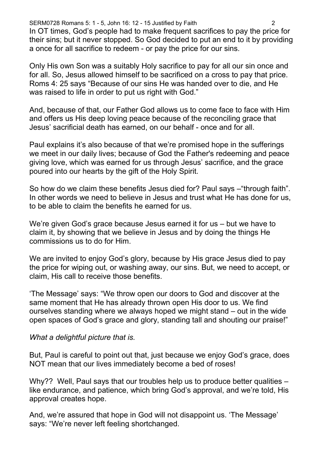SERM0728 Romans 5: 1 - 5, John 16: 12 - 15 Justified by Faith 2

In OT times, God's people had to make frequent sacrifices to pay the price for their sins; but it never stopped. So God decided to put an end to it by providing a once for all sacrifice to redeem - or pay the price for our sins.

Only His own Son was a suitably Holy sacrifice to pay for all our sin once and for all. So, Jesus allowed himself to be sacrificed on a cross to pay that price. Roms 4: 25 says "Because of our sins He was handed over to die, and He was raised to life in order to put us right with God."

And, because of that, our Father God allows us to come face to face with Him and offers us His deep loving peace because of the reconciling grace that Jesus' sacrificial death has earned, on our behalf - once and for all.

Paul explains it's also because of that we're promised hope in the sufferings we meet in our daily lives; because of God the Father's redeeming and peace giving love, which was earned for us through Jesus' sacrifice, and the grace poured into our hearts by the gift of the Holy Spirit.

So how do we claim these benefits Jesus died for? Paul says –"through faith". In other words we need to believe in Jesus and trust what He has done for us, to be able to claim the benefits he earned for us.

We're given God's grace because Jesus earned it for us - but we have to claim it, by showing that we believe in Jesus and by doing the things He commissions us to do for Him.

We are invited to enjoy God's glory, because by His grace Jesus died to pay the price for wiping out, or washing away, our sins. But, we need to accept, or claim, His call to receive those benefits.

'The Message' says: "We throw open our doors to God and discover at the same moment that He has already thrown open His door to us. We find ourselves standing where we always hoped we might stand – out in the wide open spaces of God's grace and glory, standing tall and shouting our praise!"

## *What a delightful picture that is.*

But, Paul is careful to point out that, just because we enjoy God's grace, does NOT mean that our lives immediately become a bed of roses!

Why??Well, Paul says that our troubles help us to produce better qualities – like endurance, and patience, which bring God's approval, and we're told, His approval creates hope.

And, we're assured that hope in God will not disappoint us. 'The Message' says: "We're never left feeling shortchanged.